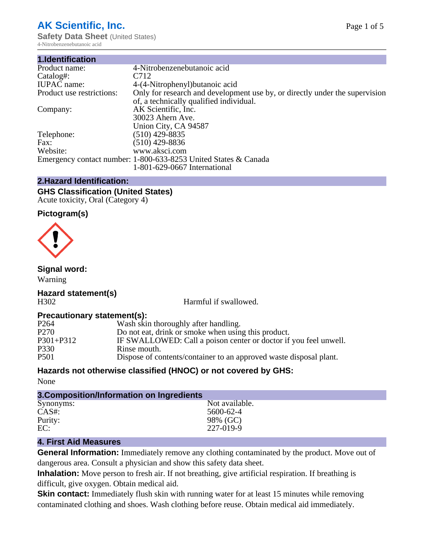# **AK Scientific, Inc.**

**Safety Data Sheet** (United States) 4-Nitrobenzenebutanoic acid

| 4-Nitrobenzenebutanoic acid                                                 |
|-----------------------------------------------------------------------------|
| C712                                                                        |
| 4-(4-Nitrophenyl) butanoic acid                                             |
| Only for research and development use by, or directly under the supervision |
| of, a technically qualified individual.                                     |
| AK Scientific, Inc.                                                         |
| 30023 Ahern Ave.                                                            |
| Union City, CA 94587                                                        |
| $(510)$ 429-8835                                                            |
| (510) 429-8836                                                              |
| www.aksci.com                                                               |
| Emergency contact number: 1-800-633-8253 United States & Canada             |
| 1-801-629-0667 International                                                |
|                                                                             |

### **2.Hazard Identification:**

### **GHS Classification (United States)** Acute toxicity, Oral (Category 4)

### **Pictogram(s)**



### **Signal word:**

Warning

### **Hazard statement(s)** H302 Harmful if swallowed.

### **Precautionary statement(s):**

| P <sub>264</sub> | Wash skin thoroughly after handling.                               |
|------------------|--------------------------------------------------------------------|
| P <sub>270</sub> | Do not eat, drink or smoke when using this product.                |
| P301+P312        | IF SWALLOWED: Call a poison center or doctor if you feel unwell.   |
| P330             | Rinse mouth.                                                       |
| P501             | Dispose of contents/container to an approved waste disposal plant. |

### **Hazards not otherwise classified (HNOC) or not covered by GHS:**

None

| 3. Composition/Information on Ingredients |                |  |  |  |
|-------------------------------------------|----------------|--|--|--|
| Synonyms:                                 | Not available. |  |  |  |
| $CAS#$ :                                  | 5600-62-4      |  |  |  |
| Purity:                                   | 98% (GC)       |  |  |  |
| EC:                                       | 227-019-9      |  |  |  |

### **4. First Aid Measures**

**General Information:** Immediately remove any clothing contaminated by the product. Move out of dangerous area. Consult a physician and show this safety data sheet.

**Inhalation:** Move person to fresh air. If not breathing, give artificial respiration. If breathing is difficult, give oxygen. Obtain medical aid.

**Skin contact:** Immediately flush skin with running water for at least 15 minutes while removing contaminated clothing and shoes. Wash clothing before reuse. Obtain medical aid immediately.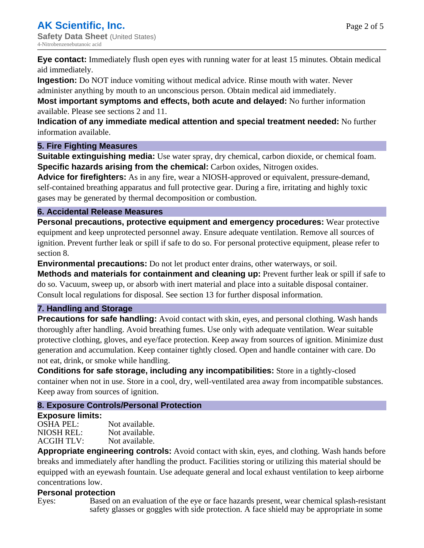**Eye contact:** Immediately flush open eyes with running water for at least 15 minutes. Obtain medical aid immediately.

**Ingestion:** Do NOT induce vomiting without medical advice. Rinse mouth with water. Never

administer anything by mouth to an unconscious person. Obtain medical aid immediately.

**Most important symptoms and effects, both acute and delayed:** No further information available. Please see sections 2 and 11.

**Indication of any immediate medical attention and special treatment needed:** No further information available.

### **5. Fire Fighting Measures**

**Suitable extinguishing media:** Use water spray, dry chemical, carbon dioxide, or chemical foam. **Specific hazards arising from the chemical:** Carbon oxides, Nitrogen oxides.

**Advice for firefighters:** As in any fire, wear a NIOSH-approved or equivalent, pressure-demand, self-contained breathing apparatus and full protective gear. During a fire, irritating and highly toxic gases may be generated by thermal decomposition or combustion.

### **6. Accidental Release Measures**

**Personal precautions, protective equipment and emergency procedures:** Wear protective equipment and keep unprotected personnel away. Ensure adequate ventilation. Remove all sources of ignition. Prevent further leak or spill if safe to do so. For personal protective equipment, please refer to section 8.

**Environmental precautions:** Do not let product enter drains, other waterways, or soil.

**Methods and materials for containment and cleaning up:** Prevent further leak or spill if safe to do so. Vacuum, sweep up, or absorb with inert material and place into a suitable disposal container. Consult local regulations for disposal. See section 13 for further disposal information.

### **7. Handling and Storage**

**Precautions for safe handling:** Avoid contact with skin, eyes, and personal clothing. Wash hands thoroughly after handling. Avoid breathing fumes. Use only with adequate ventilation. Wear suitable protective clothing, gloves, and eye/face protection. Keep away from sources of ignition. Minimize dust generation and accumulation. Keep container tightly closed. Open and handle container with care. Do not eat, drink, or smoke while handling.

**Conditions for safe storage, including any incompatibilities:** Store in a tightly-closed container when not in use. Store in a cool, dry, well-ventilated area away from incompatible substances. Keep away from sources of ignition.

## **8. Exposure Controls/Personal Protection**

### **Exposure limits:**

OSHA PEL: Not available. NIOSH REL: Not available.<br>ACGIH TLV: Not available. ACGIH TLV:

**Appropriate engineering controls:** Avoid contact with skin, eyes, and clothing. Wash hands before breaks and immediately after handling the product. Facilities storing or utilizing this material should be equipped with an eyewash fountain. Use adequate general and local exhaust ventilation to keep airborne concentrations low.

## **Personal protection**

Eyes: Based on an evaluation of the eye or face hazards present, wear chemical splash-resistant safety glasses or goggles with side protection. A face shield may be appropriate in some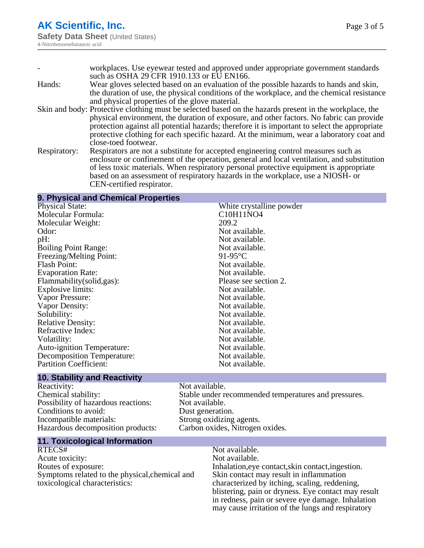|              | workplaces. Use eyewear tested and approved under appropriate government standards                     |
|--------------|--------------------------------------------------------------------------------------------------------|
|              | such as OSHA 29 CFR 1910.133 or EU EN166.                                                              |
| Hands:       | Wear gloves selected based on an evaluation of the possible hazards to hands and skin,                 |
|              | the duration of use, the physical conditions of the workplace, and the chemical resistance             |
|              | and physical properties of the glove material.                                                         |
|              | Skin and body: Protective clothing must be selected based on the hazards present in the workplace, the |
|              | physical environment, the duration of exposure, and other factors. No fabric can provide               |
|              | protection against all potential hazards; therefore it is important to select the appropriate          |
|              | protective clothing for each specific hazard. At the minimum, wear a laboratory coat and               |
|              | close-toed footwear.                                                                                   |
| Respiratory: | Respirators are not a substitute for accepted engineering control measures such as                     |
|              | enclosure or confinement of the operation, general and local ventilation, and substitution             |
|              | of less toxic materials. When respiratory personal protective equipment is appropriate                 |
|              | based on an assessment of respiratory hazards in the workplace, use a NIOSH- or                        |

CEN-certified respirator.

### **9. Physical and Chemical Properties**

Physical State: White crystalline powder<br>
Molecular Formula: C10H11NO4 Molecular Formula: Molecular Weight: 209.2 Odor: Not available.<br>
Delt: Not available.<br>
Not available. Boiling Point Range:<br>
Freezing/Melting Point:<br>
91-95°C Freezing/Melting Point: Flash Point: Not available. Evaporation Rate: Not available.<br>
Flammability(solid.gas): Please see section 2. Flammability(solid,gas):<br>
Explosive limits:<br>
Not available. Explosive limits: Vapor Pressure: Not available.<br>
Vapor Density: Not available.<br>
Not available. Vapor Density: Solubility: Not available. Relative Density:<br>
Refractive Index:<br>
Not available.<br>
Not available. Refractive Index: Volatility:<br>
Auto-ignition Temperature:<br>
Auto-ignition Temperature:<br>
Not available. Auto-ignition Temperature: Decomposition Temperature: Not available. Partition Coefficient: Not available.

# Not available.<br>Not available.

### **10. Stability and Reactivity**

Reactivity: Not available. Possibility of hazardous reactions: Not available. Conditions to avoid:<br>
Incompatible materials:<br>
Strong oxidizing Hazardous decomposition products: Carbon oxides, Nitrogen oxides.

Chemical stability: Stable under recommended temperatures and pressures. Strong oxidizing agents.

### **11. Toxicological Information**

RTECS# Not available. Acute toxicity: Not available. Routes of exposure: Inhalation,eye contact,skin contact,ingestion. Symptoms related to the physical,chemical and toxicological characteristics:

Skin contact may result in inflammation characterized by itching, scaling, reddening, blistering, pain or dryness. Eye contact may result in redness, pain or severe eye damage. Inhalation may cause irritation of the lungs and respiratory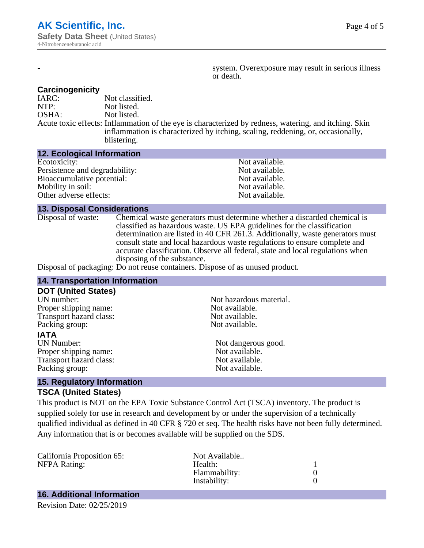system. Overexposure may result in serious illness or death.

### **Carcinogenicity**

IARC: Not classified.<br>
NOTP: Not listed. Not listed. OSHA: Not listed. Acute toxic effects: Inflammation of the eye is characterized by redness, watering, and itching. Skin inflammation is characterized by itching, scaling, reddening, or, occasionally, blistering.

### **12. Ecological Information**

| Not available. |
|----------------|
| Not available. |
| Not available. |
| Not available. |
| Not available. |
|                |

### **13. Disposal Considerations**

Disposal of waste: Chemical waste generators must determine whether a discarded chemical is classified as hazardous waste. US EPA guidelines for the classification determination are listed in 40 CFR 261.3. Additionally, waste generators must consult state and local hazardous waste regulations to ensure complete and accurate classification. Observe all federal, state and local regulations when disposing of the substance.

Disposal of packaging: Do not reuse containers. Dispose of as unused product.

| <b>14. Transportation Information</b>                                      |                         |  |
|----------------------------------------------------------------------------|-------------------------|--|
| <b>DOT (United States)</b>                                                 |                         |  |
| UN number:                                                                 | Not hazardous material. |  |
| Proper shipping name:                                                      | Not available.          |  |
| Transport hazard class:                                                    | Not available.          |  |
| Packing group:                                                             | Not available.          |  |
| <b>IATA</b>                                                                |                         |  |
| <b>UN Number:</b>                                                          | Not dangerous good.     |  |
| Proper shipping name:                                                      | Not available.          |  |
| Transport hazard class:                                                    | Not available.          |  |
| Packing group:                                                             | Not available.          |  |
| the control of the control of the control of the control of the control of |                         |  |

### **15. Regulatory Information TSCA (United States)**

This product is NOT on the EPA Toxic Substance Control Act (TSCA) inventory. The product is supplied solely for use in research and development by or under the supervision of a technically qualified individual as defined in 40 CFR § 720 et seq. The health risks have not been fully determined. Any information that is or becomes available will be supplied on the SDS.

| California Proposition 65: | Not Available |  |
|----------------------------|---------------|--|
| <b>NFPA Rating:</b>        | Health:       |  |
|                            | Flammability: |  |
|                            | Instability:  |  |
|                            |               |  |

# **16. Additional Information**

Revision Date: 02/25/2019